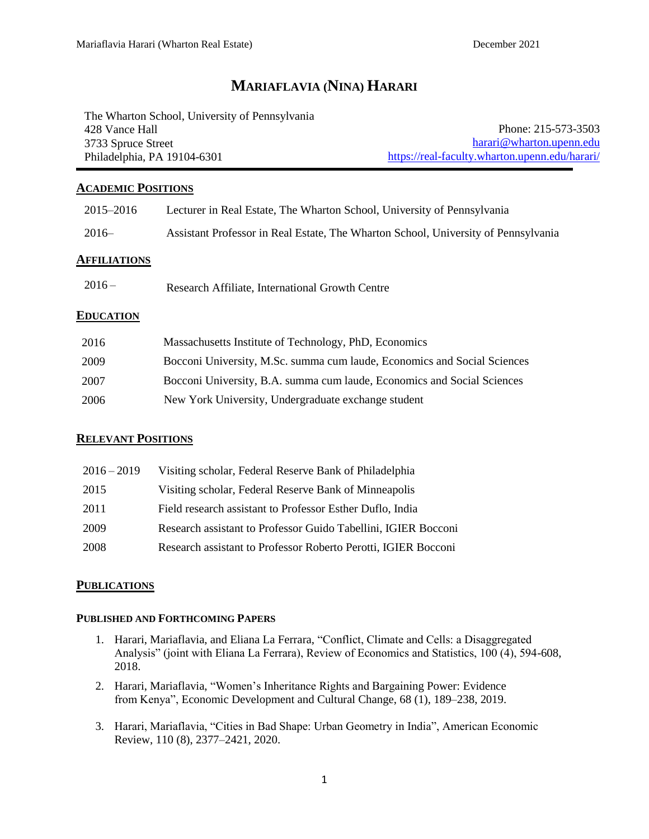# **MARIAFLAVIA (NINA) HARARI**

The Wharton School, University of Pennsylvania 428 Vance Hall 3733 Spruce Street Philadelphia, PA 19104-6301

Phone: 215-573-3503 [harari@wharton.upenn.edu](mailto:harari@wharton.upenn.edu) https://real-faculty.wharton.upenn.edu/harari/

### **ACADEMIC POSITIONS**

| 2015–2016    | Lecturer in Real Estate, The Wharton School, University of Pennsylvania            |
|--------------|------------------------------------------------------------------------------------|
| $2016-$      | Assistant Professor in Real Estate, The Wharton School, University of Pennsylvania |
| AFFILIATIONS |                                                                                    |
| $2016-$      | Research Affiliate, International Growth Centre                                    |
| EDUCATION    |                                                                                    |
| 2016         | Massachusetts Institute of Technology, PhD, Economics                              |
| 2009         | Bocconi University, M.Sc. summa cum laude, Economics and Social Sciences           |
| 2007         | Bocconi University, B.A. summa cum laude, Economics and Social Sciences            |
| 2006         | New York University, Undergraduate exchange student                                |

### **RELEVANT POSITIONS**

| $2016 - 2019$ | Visiting scholar, Federal Reserve Bank of Philadelphia         |
|---------------|----------------------------------------------------------------|
| 2015          | Visiting scholar, Federal Reserve Bank of Minneapolis          |
| 2011          | Field research assistant to Professor Esther Duflo, India      |
| 2009          | Research assistant to Professor Guido Tabellini, IGIER Bocconi |
| 2008          | Research assistant to Professor Roberto Perotti, IGIER Bocconi |

### **PUBLICATIONS**

#### **PUBLISHED AND FORTHCOMING PAPERS**

- 1. Harari, Mariaflavia, and Eliana La Ferrara, "Conflict, Climate and Cells: a Disaggregated Analysis" (joint with Eliana La Ferrara), Review of Economics and Statistics, 100 (4), 594-608, 2018.
- 2. Harari, Mariaflavia, "Women's Inheritance Rights and Bargaining Power: Evidence from Kenya", Economic Development and Cultural Change, 68 (1), 189–238, 2019.
- 3. Harari, Mariaflavia, "Cities in Bad Shape: Urban Geometry in India", American Economic Review, 110 (8), 2377–2421, 2020.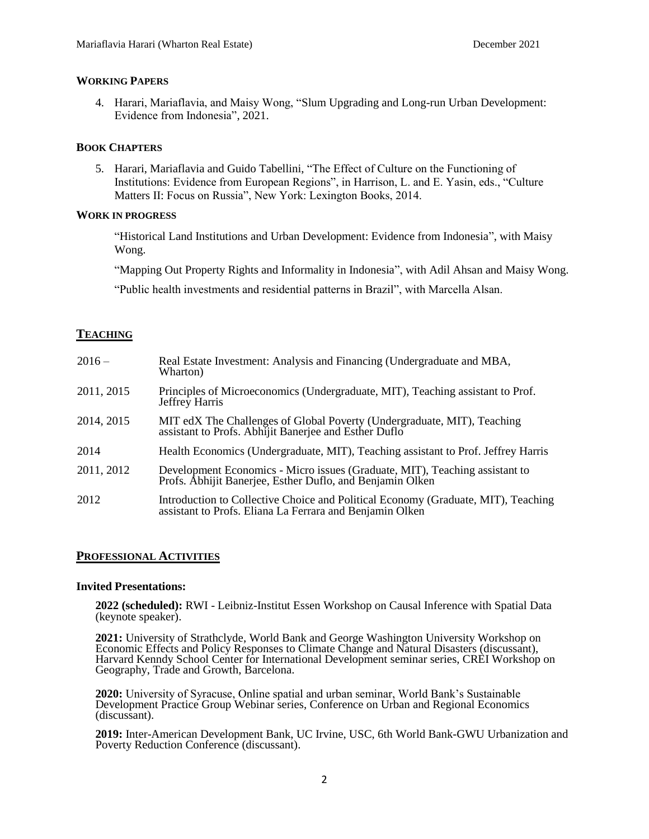#### **WORKING PAPERS**

4. Harari, Mariaflavia, and Maisy Wong, "Slum Upgrading and Long-run Urban Development: Evidence from Indonesia", 2021.

#### **BOOK CHAPTERS**

5. Harari, Mariaflavia and Guido Tabellini, "The Effect of Culture on the Functioning of Institutions: Evidence from European Regions", in Harrison, L. and E. Yasin, eds., "Culture Matters II: Focus on Russia", New York: Lexington Books, 2014.

#### **WORK IN PROGRESS**

"Historical Land Institutions and Urban Development: Evidence from Indonesia", with Maisy Wong.

"Mapping Out Property Rights and Informality in Indonesia", with Adil Ahsan and Maisy Wong.

"Public health investments and residential patterns in Brazil", with Marcella Alsan.

### **TEACHING**

| $2016-$    | Real Estate Investment: Analysis and Financing (Undergraduate and MBA,<br>Wharton)                                                            |
|------------|-----------------------------------------------------------------------------------------------------------------------------------------------|
| 2011, 2015 | Principles of Microeconomics (Undergraduate, MIT), Teaching assistant to Prof.<br>Jeffrey Harris                                              |
| 2014, 2015 | MIT edX The Challenges of Global Poverty (Undergraduate, MIT), Teaching assistant to Profs. Abhijit Banerjee and Esther Duflo                 |
| 2014       | Health Economics (Undergraduate, MIT), Teaching assistant to Prof. Jeffrey Harris                                                             |
| 2011, 2012 | Development Economics - Micro issues (Graduate, MIT), Teaching assistant to<br>Profs. Abhijit Banerjee, Esther Duflo, and Benjamin Olken      |
| 2012       | Introduction to Collective Choice and Political Economy (Graduate, MIT), Teaching<br>assistant to Profs. Eliana La Ferrara and Benjamin Olken |

#### **PROFESSIONAL ACTIVITIES**

#### **Invited Presentations:**

**2022 (scheduled):** RWI - Leibniz-Institut Essen Workshop on Causal Inference with Spatial Data (keynote speaker).

**2021:** University of Strathclyde, World Bank and George Washington University Workshop on Economic Effects and Policy Responses to Climate Change and Natural Disasters (discussant), Harvard Kenndy School Center for International Development seminar series, CREI Workshop on Geography, Trade and Growth, Barcelona.

**2020:** University of Syracuse, Online spatial and urban seminar, World Bank's Sustainable Development Practice Group Webinar series, Conference on Urban and Regional Economics (discussant).

**2019:** Inter-American Development Bank, UC Irvine, USC, 6th World Bank-GWU Urbanization and Poverty Reduction Conference (discussant).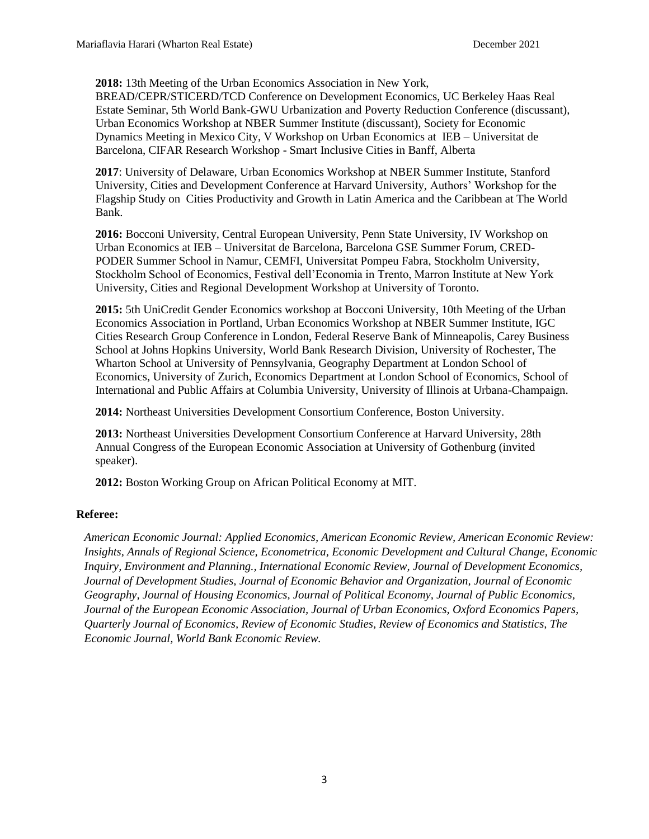**2018:** 13th Meeting of the Urban Economics Association in New York,

BREAD/CEPR/STICERD/TCD Conference on Development Economics, UC Berkeley Haas Real Estate Seminar, 5th World Bank-GWU Urbanization and Poverty Reduction Conference (discussant), Urban Economics Workshop at NBER Summer Institute (discussant), Society for Economic Dynamics Meeting in Mexico City, V Workshop on Urban Economics at IEB – Universitat de Barcelona, CIFAR Research Workshop - Smart Inclusive Cities in Banff, Alberta

**2017**: University of Delaware, Urban Economics Workshop at NBER Summer Institute, Stanford University, Cities and Development Conference at Harvard University, Authors' Workshop for the Flagship Study on Cities Productivity and Growth in Latin America and the Caribbean at The World Bank.

**2016:** Bocconi University, Central European University, Penn State University, IV Workshop on Urban Economics at IEB – Universitat de Barcelona, Barcelona GSE Summer Forum, CRED-PODER Summer School in Namur, CEMFI, Universitat Pompeu Fabra, Stockholm University, Stockholm School of Economics, Festival dell'Economia in Trento, Marron Institute at New York University, Cities and Regional Development Workshop at University of Toronto.

**2015:** 5th UniCredit Gender Economics workshop at Bocconi University, 10th Meeting of the Urban Economics Association in Portland, Urban Economics Workshop at NBER Summer Institute, IGC Cities Research Group Conference in London, Federal Reserve Bank of Minneapolis, Carey Business School at Johns Hopkins University, World Bank Research Division, University of Rochester, The Wharton School at University of Pennsylvania, Geography Department at London School of Economics, University of Zurich, Economics Department at London School of Economics, School of International and Public Affairs at Columbia University, University of Illinois at Urbana-Champaign.

**2014:** Northeast Universities Development Consortium Conference, Boston University.

**2013:** Northeast Universities Development Consortium Conference at Harvard University, 28th Annual Congress of the European Economic Association at University of Gothenburg (invited speaker).

**2012:** Boston Working Group on African Political Economy at MIT.

### **Referee:**

*American Economic Journal: Applied Economics, American Economic Review, American Economic Review: Insights, Annals of Regional Science, Econometrica, Economic Development and Cultural Change, Economic Inquiry, Environment and Planning., International Economic Review, Journal of Development Economics, Journal of Development Studies, Journal of Economic Behavior and Organization, Journal of Economic Geography, Journal of Housing Economics, Journal of Political Economy, Journal of Public Economics, Journal of the European Economic Association, Journal of Urban Economics, Oxford Economics Papers, Quarterly Journal of Economics, Review of Economic Studies, Review of Economics and Statistics, The Economic Journal, World Bank Economic Review.*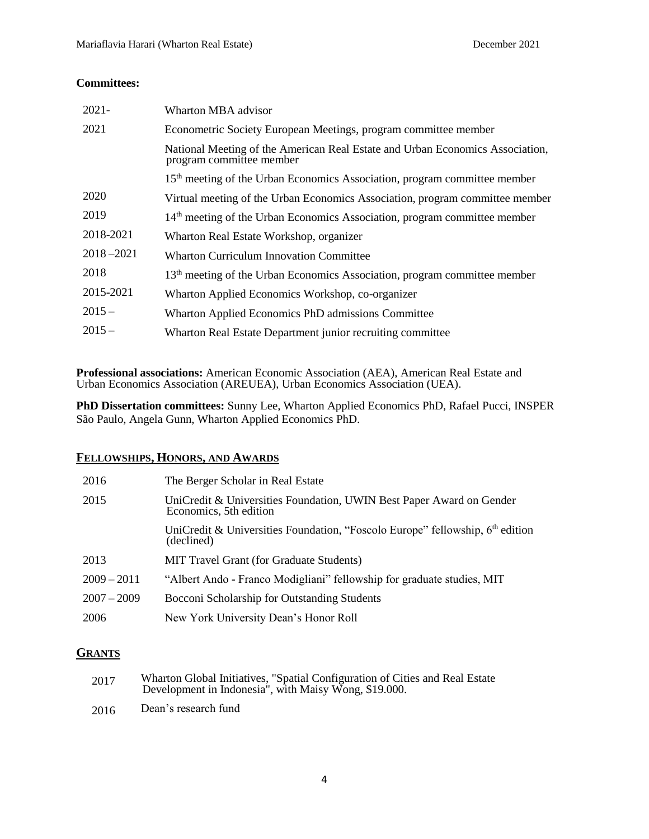### **Committees:**

| $2021 -$      | Wharton MBA advisor                                                                                       |
|---------------|-----------------------------------------------------------------------------------------------------------|
| 2021          | Econometric Society European Meetings, program committee member                                           |
|               | National Meeting of the American Real Estate and Urban Economics Association,<br>program committee member |
|               | 15 <sup>th</sup> meeting of the Urban Economics Association, program committee member                     |
| 2020          | Virtual meeting of the Urban Economics Association, program committee member                              |
| 2019          | 14 <sup>th</sup> meeting of the Urban Economics Association, program committee member                     |
| 2018-2021     | Wharton Real Estate Workshop, organizer                                                                   |
| $2018 - 2021$ | <b>Wharton Curriculum Innovation Committee</b>                                                            |
| 2018          | 13 <sup>th</sup> meeting of the Urban Economics Association, program committee member                     |
| 2015-2021     | Wharton Applied Economics Workshop, co-organizer                                                          |
| $2015 -$      | Wharton Applied Economics PhD admissions Committee                                                        |
| $2015 -$      | Wharton Real Estate Department junior recruiting committee                                                |

**Professional associations:** American Economic Association (AEA), American Real Estate and Urban Economics Association (AREUEA), Urban Economics Association (UEA).

**PhD Dissertation committees:** Sunny Lee, Wharton Applied Economics PhD, Rafael Pucci, INSPER São Paulo, Angela Gunn, Wharton Applied Economics PhD.

#### **FELLOWSHIPS, HONORS, AND AWARDS** 2009 – 2011 2007 – 2009

| 2016          | The Berger Scholar in Real Estate                                                              |
|---------------|------------------------------------------------------------------------------------------------|
| 2015          | UniCredit & Universities Foundation, UWIN Best Paper Award on Gender<br>Economics, 5th edition |
|               | UniCredit & Universities Foundation, "Foscolo Europe" fellowship, 6th edition<br>(declined)    |
| 2013          | MIT Travel Grant (for Graduate Students)                                                       |
| $2009 - 2011$ | "Albert Ando - Franco Modigliani" fellowship for graduate studies, MIT                         |
| $2007 - 2009$ | Bocconi Scholarship for Outstanding Students                                                   |
| 2006          | New York University Dean's Honor Roll                                                          |

## **GRANTS**

| 2017 | Wharton Global Initiatives, "Spatial Configuration of Cities and Real Estate Development in Indonesia", with Maisy Wong, \$19.000. |
|------|------------------------------------------------------------------------------------------------------------------------------------|
| 2016 | Dean's research fund                                                                                                               |